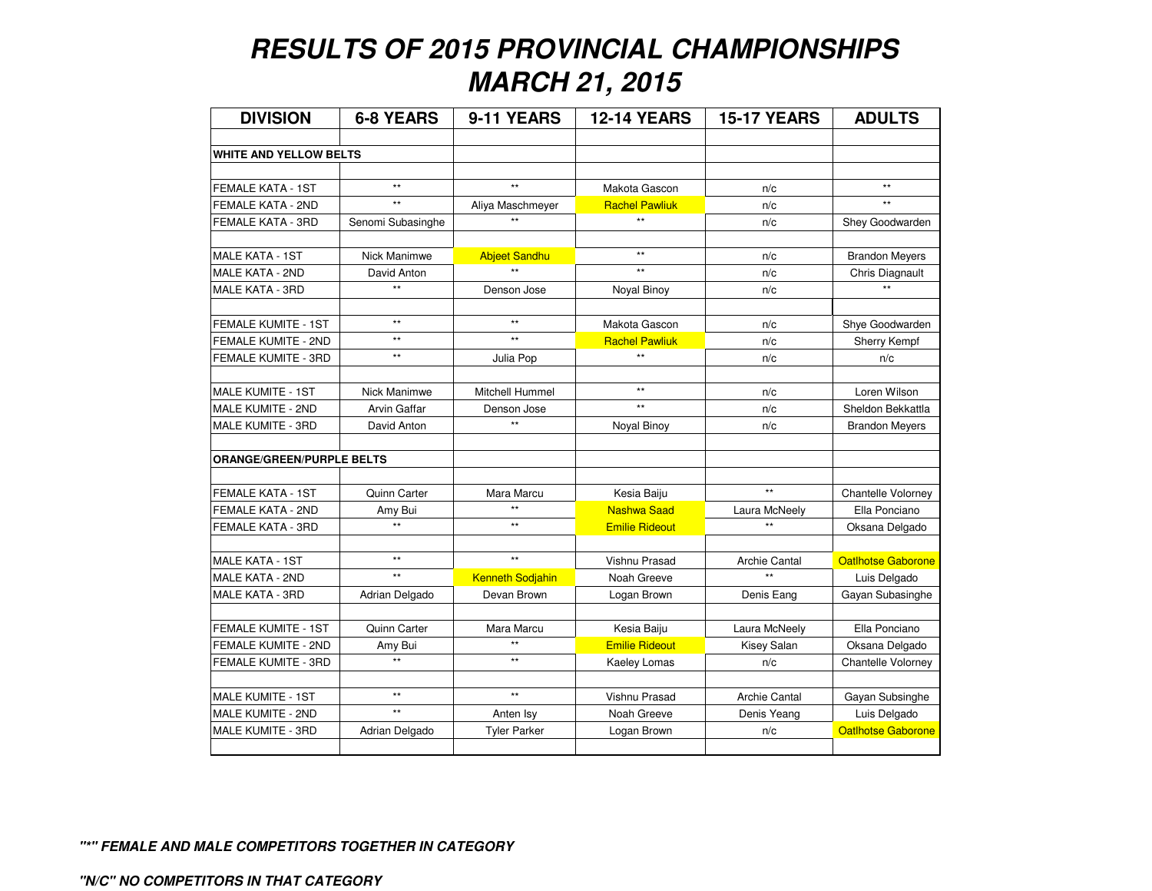## **RESULTS OF 2015 PROVINCIAL CHAMPIONSHIPSMARCH 21, 2015**

| <b>DIVISION</b>                  | <b>6-8 YEARS</b>    | 9-11 YEARS              | <b>12-14 YEARS</b>    | <b>15-17 YEARS</b>   | <b>ADULTS</b>             |
|----------------------------------|---------------------|-------------------------|-----------------------|----------------------|---------------------------|
|                                  |                     |                         |                       |                      |                           |
| <b>WHITE AND YELLOW BELTS</b>    |                     |                         |                       |                      |                           |
|                                  |                     |                         |                       |                      |                           |
| FEMALE KATA - 1ST                | $\star\star$        | $\star\star$            | Makota Gascon         | n/c                  | $\star\star$              |
| FEMALE KATA - 2ND                | $\star\star$        | Aliya Maschmeyer        | <b>Rachel Pawliuk</b> | n/c                  | $\ddot{\phantom{0}}$      |
| FEMALE KATA - 3RD                | Senomi Subasinghe   |                         | $\star\star$          | n/c                  | Shey Goodwarden           |
| <b>MALE KATA - 1ST</b>           | Nick Manimwe        | <b>Abjeet Sandhu</b>    | $\star\star$          | n/c                  | <b>Brandon Meyers</b>     |
| <b>MALE KATA - 2ND</b>           | David Anton         | $\star\star$            | $\star\star$          | n/c                  | Chris Diagnault           |
| MALE KATA - 3RD                  | $\star\star$        | Denson Jose             | Noyal Binoy           | n/c                  |                           |
|                                  |                     |                         |                       |                      |                           |
| <b>FEMALE KUMITE - 1ST</b>       | $**$                | $**$                    | Makota Gascon         | n/c                  | Shye Goodwarden           |
| FEMALE KUMITE - 2ND              | $\star\star$        | $\star\star$            | <b>Rachel Pawliuk</b> | n/c                  | Sherry Kempf              |
| FEMALE KUMITE - 3RD              | $\star\star$        | Julia Pop               | $\star\star$          | n/c                  | n/c                       |
|                                  |                     |                         |                       |                      |                           |
| <b>MALE KUMITE - 1ST</b>         | <b>Nick Manimwe</b> | Mitchell Hummel         | $**$                  | n/c                  | Loren Wilson              |
| MALE KUMITE - 2ND                | <b>Arvin Gaffar</b> | Denson Jose             | $\star\star$          | n/c                  | Sheldon Bekkattla         |
| MALE KUMITE - 3RD                | David Anton         | $\star\star$            | Noyal Binoy           | n/c                  | <b>Brandon Meyers</b>     |
|                                  |                     |                         |                       |                      |                           |
| <b>ORANGE/GREEN/PURPLE BELTS</b> |                     |                         |                       |                      |                           |
|                                  |                     |                         |                       |                      |                           |
| FEMALE KATA - 1ST                | Quinn Carter        | Mara Marcu              | Kesia Baiju           | $\star\star$         | Chantelle Volorney        |
| FEMALE KATA - 2ND                | Amy Bui             | $\star\star$            | <b>Nashwa Saad</b>    | Laura McNeely        | Ella Ponciano             |
| FEMALE KATA - 3RD                | $\star\star$        | $\star\star$            | <b>Emilie Rideout</b> | $\star\star$         | Oksana Delgado            |
|                                  |                     |                         |                       |                      |                           |
| <b>MALE KATA - 1ST</b>           | $\star\star$        | $\star\star$            | Vishnu Prasad         | <b>Archie Cantal</b> | <b>Oatlhotse Gaborone</b> |
| <b>MALE KATA - 2ND</b>           | $\star\star$        | <b>Kenneth Sodjahin</b> | Noah Greeve           | $\ddot{\ast}$        | Luis Delgado              |
| MALE KATA - 3RD                  | Adrian Delgado      | Devan Brown             | Logan Brown           | Denis Eang           | Gayan Subasinghe          |
|                                  |                     |                         |                       |                      |                           |
| <b>FEMALE KUMITE - 1ST</b>       | Quinn Carter        | Mara Marcu              | Kesia Baiju           | Laura McNeely        | Ella Ponciano             |
| FEMALE KUMITE - 2ND              | Amy Bui             | $\star\star$            | <b>Emilie Rideout</b> | Kisey Salan          | Oksana Delgado            |
| FEMALE KUMITE - 3RD              | $\star\star$        | $^{\star\star}$         | Kaeley Lomas          | n/c                  | Chantelle Volorney        |
|                                  |                     |                         |                       |                      |                           |
| <b>MALE KUMITE - 1ST</b>         | $\star\star$        | $^{\star\star}$         | Vishnu Prasad         | <b>Archie Cantal</b> | Gayan Subsinghe           |
| MALE KUMITE - 2ND                | $\star\star$        | Anten Isy               | Noah Greeve           | Denis Yeang          | Luis Delgado              |
| MALE KUMITE - 3RD                | Adrian Delgado      | <b>Tyler Parker</b>     | Logan Brown           | n/c                  | <b>Oatlhotse Gaborone</b> |
|                                  |                     |                         |                       |                      |                           |

**"\*" FEMALE AND MALE COMPETITORS TOGETHER IN CATEGORY**

**"N/C" NO COMPETITORS IN THAT CATEGORY**